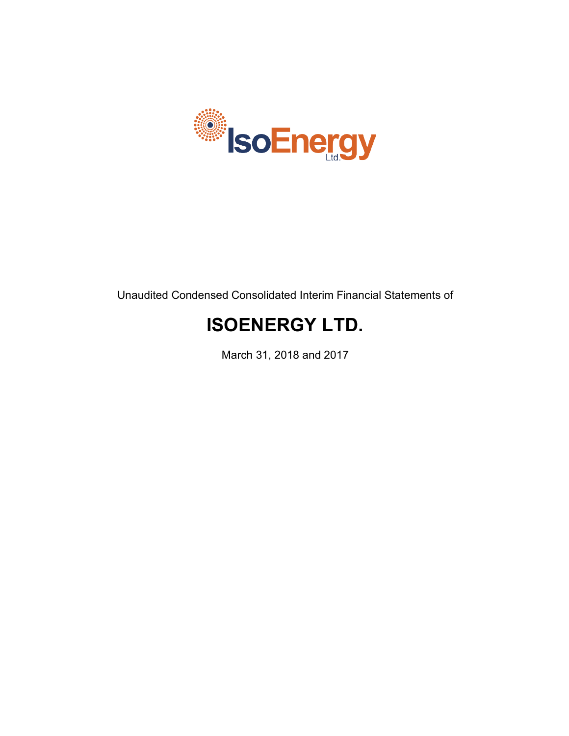

Unaudited Condensed Consolidated Interim Financial Statements of

# **ISOENERGY LTD.**

March 31, 2018 and 2017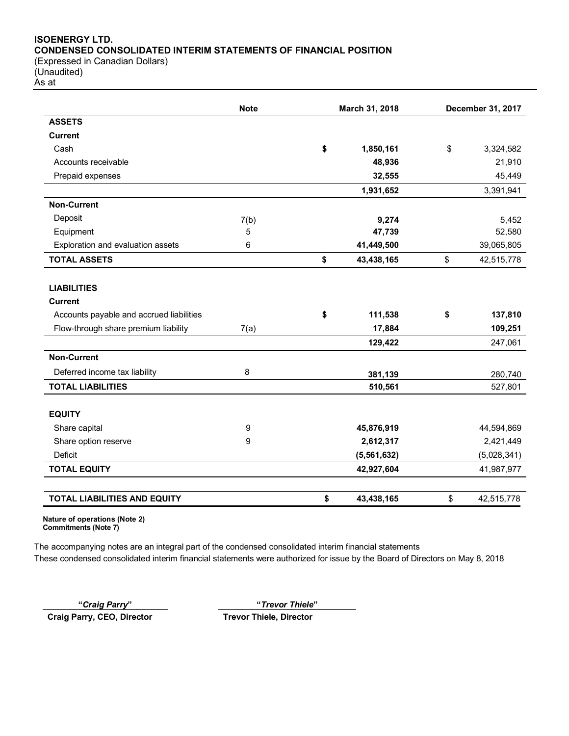# **ISOENERGY LTD. CONDENSED CONSOLIDATED INTERIM STATEMENTS OF FINANCIAL POSITION** (Expressed in Canadian Dollars)

(Unaudited) As at

|                                          | <b>Note</b> | March 31, 2018 |             | December 31, 2017 |
|------------------------------------------|-------------|----------------|-------------|-------------------|
| <b>ASSETS</b>                            |             |                |             |                   |
| <b>Current</b>                           |             |                |             |                   |
| Cash                                     |             | \$             | 1,850,161   | \$<br>3,324,582   |
| Accounts receivable                      |             |                | 48,936      | 21,910            |
| Prepaid expenses                         |             |                | 32,555      | 45,449            |
|                                          |             |                | 1,931,652   | 3,391,941         |
| <b>Non-Current</b>                       |             |                |             |                   |
| Deposit                                  | 7(b)        |                | 9,274       | 5,452             |
| Equipment                                | 5           |                | 47,739      | 52,580            |
| Exploration and evaluation assets        | 6           |                | 41,449,500  | 39,065,805        |
| <b>TOTAL ASSETS</b>                      |             | \$             | 43,438,165  | \$<br>42,515,778  |
|                                          |             |                |             |                   |
| <b>LIABILITIES</b>                       |             |                |             |                   |
| <b>Current</b>                           |             |                |             |                   |
| Accounts payable and accrued liabilities |             | \$             | 111,538     | \$<br>137,810     |
| Flow-through share premium liability     | 7(a)        |                | 17,884      | 109,251           |
|                                          |             |                | 129,422     | 247,061           |
| <b>Non-Current</b>                       |             |                |             |                   |
| Deferred income tax liability            | 8           |                | 381,139     | 280,740           |
| <b>TOTAL LIABILITIES</b>                 |             |                | 510,561     | 527,801           |
|                                          |             |                |             |                   |
| <b>EQUITY</b>                            |             |                |             |                   |
| Share capital                            | 9           |                | 45,876,919  | 44,594,869        |
| Share option reserve                     | 9           |                | 2,612,317   | 2,421,449         |
| Deficit                                  |             |                | (5,561,632) | (5,028,341)       |
| <b>TOTAL EQUITY</b>                      |             |                | 42,927,604  | 41,987,977        |
| <b>TOTAL LIABILITIES AND EQUITY</b>      |             | \$             | 43,438,165  | \$<br>42,515,778  |

**Nature of operations (Note 2) Commitments (Note 7)**

The accompanying notes are an integral part of the condensed consolidated interim financial statements These condensed consolidated interim financial statements were authorized for issue by the Board of Directors on May 8, 2018

**"***Craig Parry***" "***Trevor Thiele***"**

**Craig Parry, CEO, Director Trevor Thiele, Director**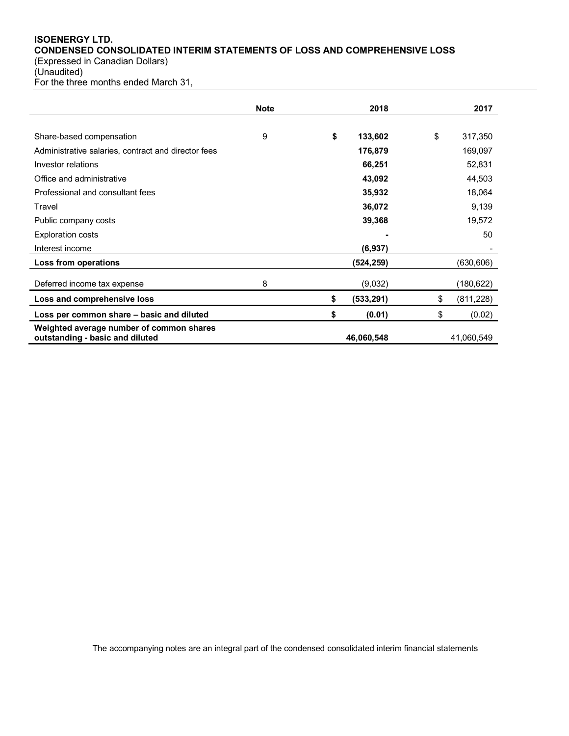# **ISOENERGY LTD. CONDENSED CONSOLIDATED INTERIM STATEMENTS OF LOSS AND COMPREHENSIVE LOSS**

(Expressed in Canadian Dollars) (Unaudited)

For the three months ended March 31,

|                                                                             | <b>Note</b> | 2018             | 2017             |
|-----------------------------------------------------------------------------|-------------|------------------|------------------|
|                                                                             |             |                  |                  |
| Share-based compensation                                                    | 9           | \$<br>133,602    | \$<br>317,350    |
| Administrative salaries, contract and director fees                         |             | 176,879          | 169,097          |
| Investor relations                                                          |             | 66,251           | 52,831           |
| Office and administrative                                                   |             | 43,092           | 44,503           |
| Professional and consultant fees                                            |             | 35,932           | 18,064           |
| Travel                                                                      |             | 36,072           | 9,139            |
| Public company costs                                                        |             | 39,368           | 19,572           |
| <b>Exploration costs</b>                                                    |             |                  | 50               |
| Interest income                                                             |             | (6,937)          |                  |
| Loss from operations                                                        |             | (524, 259)       | (630, 606)       |
| Deferred income tax expense                                                 | 8           | (9,032)          | (180, 622)       |
| Loss and comprehensive loss                                                 |             | \$<br>(533, 291) | \$<br>(811, 228) |
| Loss per common share – basic and diluted                                   |             | \$<br>(0.01)     | \$<br>(0.02)     |
| Weighted average number of common shares<br>outstanding - basic and diluted |             | 46,060,548       | 41,060,549       |

The accompanying notes are an integral part of the condensed consolidated interim financial statements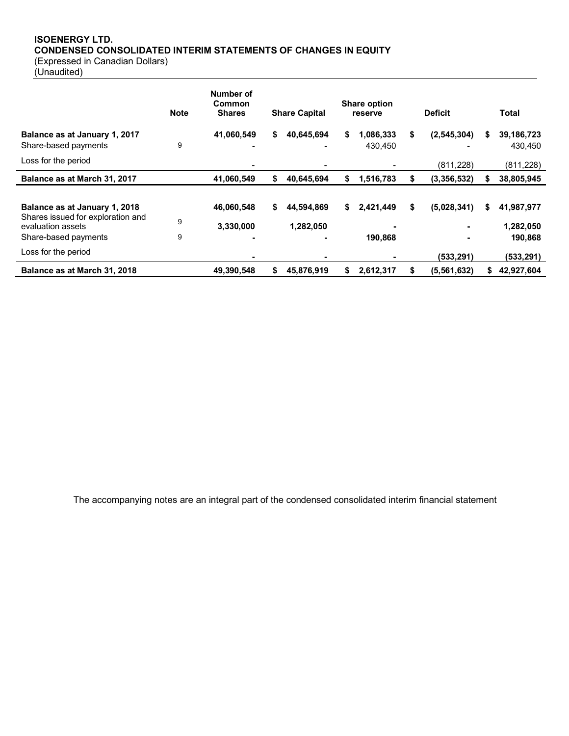# **ISOENERGY LTD. CONDENSED CONSOLIDATED INTERIM STATEMENTS OF CHANGES IN EQUITY**

(Expressed in Canadian Dollars)

(Unaudited)

|                                                                                                                 | <b>Note</b> | Number of<br>Common<br><b>Shares</b> |    | <b>Share Capital</b>    |    | <b>Share option</b><br>reserve |    | <b>Deficit</b>           |    | Total                               |
|-----------------------------------------------------------------------------------------------------------------|-------------|--------------------------------------|----|-------------------------|----|--------------------------------|----|--------------------------|----|-------------------------------------|
| Balance as at January 1, 2017<br>Share-based payments<br>Loss for the period                                    | 9           | 41,060,549                           | \$ | 40,645,694              | \$ | 1,086,333<br>430,450           | \$ | (2,545,304)<br>(811,228) | S  | 39,186,723<br>430.450<br>(811, 228) |
| Balance as at March 31, 2017                                                                                    |             | 41,060,549                           | \$ | 40,645,694              | \$ | 1,516,783                      | S  | (3,356,532)              | S  | 38,805,945                          |
| Balance as at January 1, 2018<br>Shares issued for exploration and<br>evaluation assets<br>Share-based payments | 9<br>9      | 46,060,548<br>3,330,000              | \$ | 44,594,869<br>1,282,050 | \$ | 2,421,449<br>190.868           | \$ | (5,028,341)              | \$ | 41,987,977<br>1,282,050<br>190,868  |
| Loss for the period                                                                                             |             |                                      |    |                         |    |                                |    | (533,291)                |    | (533, 291)                          |
| Balance as at March 31, 2018                                                                                    |             | 49,390,548                           | S  | 45,876,919              | S  | 2,612,317                      |    | (5, 561, 632)            | S  | 42,927,604                          |

The accompanying notes are an integral part of the condensed consolidated interim financial statement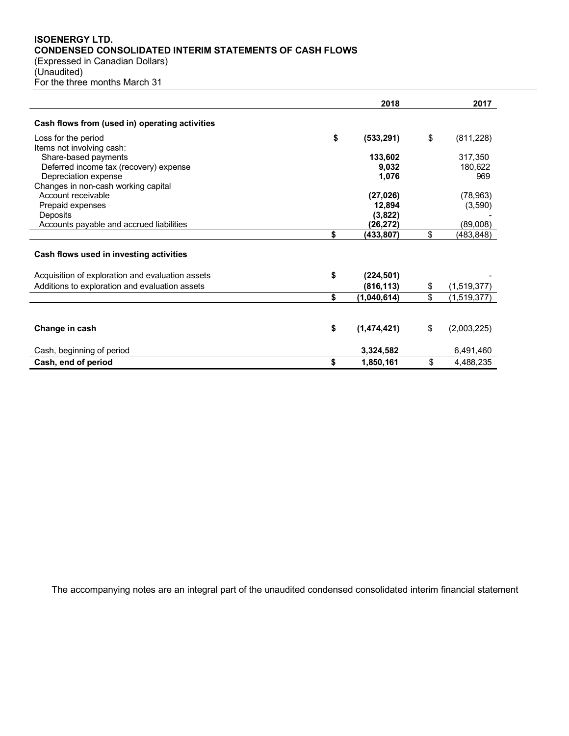# **ISOENERGY LTD. CONDENSED CONSOLIDATED INTERIM STATEMENTS OF CASH FLOWS**

(Expressed in Canadian Dollars) (Unaudited) For the three months March 31

|                                                  | 2018              |                 | 2017        |
|--------------------------------------------------|-------------------|-----------------|-------------|
| Cash flows from (used in) operating activities   |                   |                 |             |
| Loss for the period                              | \$<br>(533, 291)  | \$              | (811, 228)  |
| Items not involving cash:                        |                   |                 |             |
| Share-based payments                             | 133,602           |                 | 317,350     |
| Deferred income tax (recovery) expense           | 9,032             |                 | 180,622     |
| Depreciation expense                             | 1,076             |                 | 969         |
| Changes in non-cash working capital              |                   |                 |             |
| Account receivable                               | (27, 026)         |                 | (78, 963)   |
| Prepaid expenses                                 | 12,894            |                 | (3,590)     |
| Deposits                                         | (3,822)           |                 |             |
| Accounts payable and accrued liabilities         | (26,272)          |                 | (89,008)    |
|                                                  | \$<br>(433,807)   | \$              | (483,848)   |
| Cash flows used in investing activities          |                   |                 |             |
| Acquisition of exploration and evaluation assets | \$<br>(224, 501)  |                 |             |
| Additions to exploration and evaluation assets   | (816, 113)        | \$              | (1,519,377) |
|                                                  | \$<br>(1,040,614) | $\overline{\$}$ | (1,519,377) |
|                                                  |                   |                 |             |
| Change in cash                                   | \$<br>(1,474,421) | \$              | (2,003,225) |
| Cash, beginning of period                        | 3,324,582         |                 | 6,491,460   |
| Cash, end of period                              | \$<br>1,850,161   | \$              | 4,488,235   |

The accompanying notes are an integral part of the unaudited condensed consolidated interim financial statement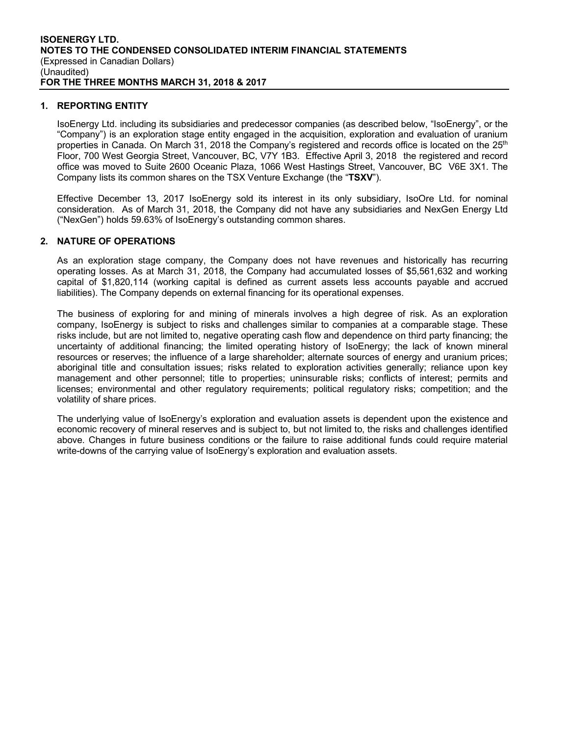# **1. REPORTING ENTITY**

IsoEnergy Ltd. including its subsidiaries and predecessor companies (as described below, "IsoEnergy", or the "Company") is an exploration stage entity engaged in the acquisition, exploration and evaluation of uranium properties in Canada. On March 31, 2018 the Company's registered and records office is located on the 25<sup>th</sup> Floor, 700 West Georgia Street, Vancouver, BC, V7Y 1B3. Effective April 3, 2018 the registered and record office was moved to Suite 2600 Oceanic Plaza, 1066 West Hastings Street, Vancouver, BC V6E 3X1. The Company lists its common shares on the TSX Venture Exchange (the "**TSXV**").

Effective December 13, 2017 IsoEnergy sold its interest in its only subsidiary, IsoOre Ltd. for nominal consideration. As of March 31, 2018, the Company did not have any subsidiaries and NexGen Energy Ltd ("NexGen") holds 59.63% of IsoEnergy's outstanding common shares.

# **2. NATURE OF OPERATIONS**

As an exploration stage company, the Company does not have revenues and historically has recurring operating losses. As at March 31, 2018, the Company had accumulated losses of \$5,561,632 and working capital of \$1,820,114 (working capital is defined as current assets less accounts payable and accrued liabilities). The Company depends on external financing for its operational expenses.

The business of exploring for and mining of minerals involves a high degree of risk. As an exploration company, IsoEnergy is subject to risks and challenges similar to companies at a comparable stage. These risks include, but are not limited to, negative operating cash flow and dependence on third party financing; the uncertainty of additional financing; the limited operating history of IsoEnergy; the lack of known mineral resources or reserves; the influence of a large shareholder; alternate sources of energy and uranium prices; aboriginal title and consultation issues; risks related to exploration activities generally; reliance upon key management and other personnel; title to properties; uninsurable risks; conflicts of interest; permits and licenses; environmental and other regulatory requirements; political regulatory risks; competition; and the volatility of share prices.

The underlying value of IsoEnergy's exploration and evaluation assets is dependent upon the existence and economic recovery of mineral reserves and is subject to, but not limited to, the risks and challenges identified above. Changes in future business conditions or the failure to raise additional funds could require material write-downs of the carrying value of IsoEnergy's exploration and evaluation assets.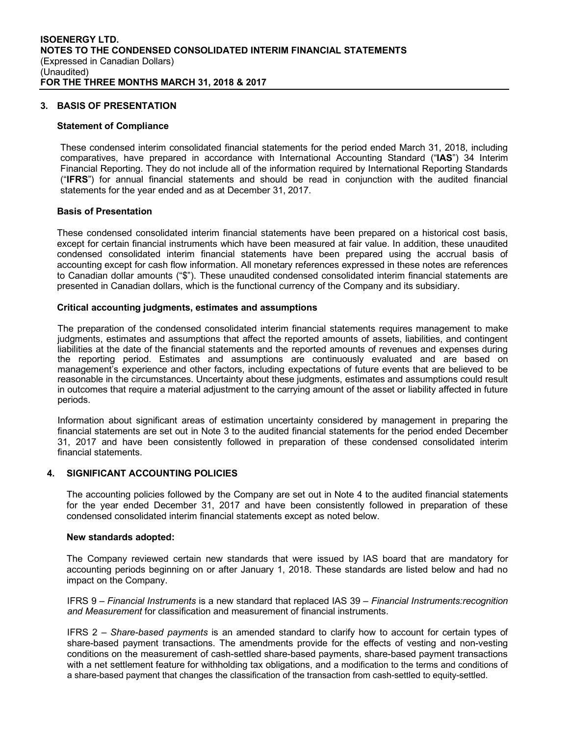# **3. BASIS OF PRESENTATION**

#### **Statement of Compliance**

These condensed interim consolidated financial statements for the period ended March 31, 2018, including comparatives, have prepared in accordance with International Accounting Standard ("**IAS**") 34 Interim Financial Reporting. They do not include all of the information required by International Reporting Standards ("**IFRS**") for annual financial statements and should be read in conjunction with the audited financial statements for the year ended and as at December 31, 2017.

#### **Basis of Presentation**

These condensed consolidated interim financial statements have been prepared on a historical cost basis, except for certain financial instruments which have been measured at fair value. In addition, these unaudited condensed consolidated interim financial statements have been prepared using the accrual basis of accounting except for cash flow information. All monetary references expressed in these notes are references to Canadian dollar amounts ("\$"). These unaudited condensed consolidated interim financial statements are presented in Canadian dollars, which is the functional currency of the Company and its subsidiary.

#### **Critical accounting judgments, estimates and assumptions**

The preparation of the condensed consolidated interim financial statements requires management to make judgments, estimates and assumptions that affect the reported amounts of assets, liabilities, and contingent liabilities at the date of the financial statements and the reported amounts of revenues and expenses during the reporting period. Estimates and assumptions are continuously evaluated and are based on management's experience and other factors, including expectations of future events that are believed to be reasonable in the circumstances. Uncertainty about these judgments, estimates and assumptions could result in outcomes that require a material adjustment to the carrying amount of the asset or liability affected in future periods.

Information about significant areas of estimation uncertainty considered by management in preparing the financial statements are set out in Note 3 to the audited financial statements for the period ended December 31, 2017 and have been consistently followed in preparation of these condensed consolidated interim financial statements.

#### **4. SIGNIFICANT ACCOUNTING POLICIES**

The accounting policies followed by the Company are set out in Note 4 to the audited financial statements for the year ended December 31, 2017 and have been consistently followed in preparation of these condensed consolidated interim financial statements except as noted below.

#### **New standards adopted:**

The Company reviewed certain new standards that were issued by IAS board that are mandatory for accounting periods beginning on or after January 1, 2018. These standards are listed below and had no impact on the Company.

IFRS 9 – *Financial Instruments* is a new standard that replaced IAS 39 – *Financial Instruments:recognition and Measurement* for classification and measurement of financial instruments.

IFRS 2 – *Share-based payments* is an amended standard to clarify how to account for certain types of share-based payment transactions. The amendments provide for the effects of vesting and non-vesting conditions on the measurement of cash-settled share-based payments, share-based payment transactions with a net settlement feature for withholding tax obligations, and a modification to the terms and conditions of a share-based payment that changes the classification of the transaction from cash-settled to equity-settled.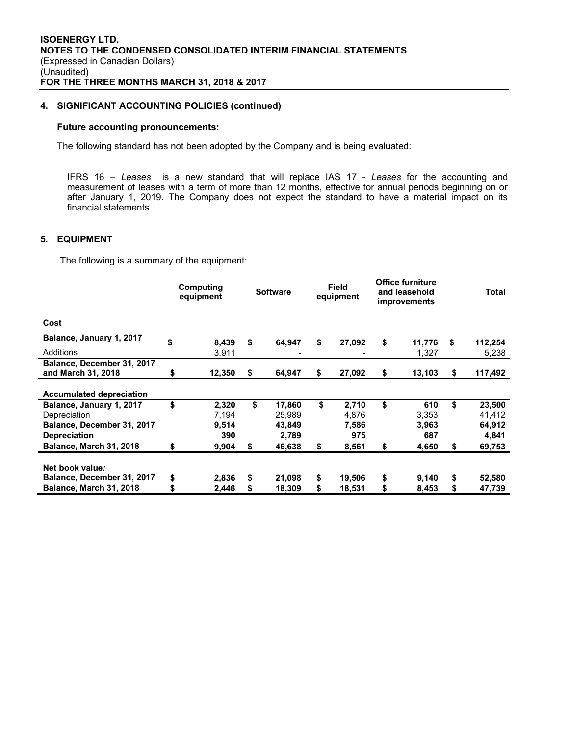# **4. SIGNIFICANT ACCOUNTING POLICIES (continued)**

#### **Future accounting pronouncements:**

The following standard has not been adopted by the Company and is being evaluated:

IFRS 16 – *Leases* is a new standard that will replace IAS 17 - *Leases* for the accounting and measurement of leases with a term of more than 12 months, effective for annual periods beginning on or after January 1, 2019. The Company does not expect the standard to have a material impact on its financial statements.

# **5. EQUIPMENT**

The following is a summary of the equipment:

|                                 |    | Computing<br>equipment | <b>Field</b><br><b>Software</b><br>equipment |        | <b>Office furniture</b><br>and leasehold<br><i>improvements</i> |    | Total  |               |
|---------------------------------|----|------------------------|----------------------------------------------|--------|-----------------------------------------------------------------|----|--------|---------------|
| Cost                            |    |                        |                                              |        |                                                                 |    |        |               |
| Balance, January 1, 2017        | \$ | 8,439                  | \$                                           | 64,947 | \$<br>27,092                                                    | \$ | 11,776 | \$<br>112,254 |
| Additions                       |    | 3,911                  |                                              |        |                                                                 |    | 1,327  | 5,238         |
| Balance, December 31, 2017      |    |                        |                                              |        |                                                                 |    |        |               |
| and March 31, 2018              | \$ | 12.350                 | S                                            | 64.947 | \$<br>27,092                                                    | \$ | 13,103 | \$<br>117,492 |
| <b>Accumulated depreciation</b> |    |                        |                                              |        |                                                                 |    |        |               |
| Balance, January 1, 2017        | \$ | 2,320                  | \$                                           | 17,860 | \$<br>2,710                                                     | \$ | 610    | \$<br>23,500  |
| Depreciation                    |    | 7,194                  |                                              | 25,989 | 4,876                                                           |    | 3,353  | 41,412        |
| Balance, December 31, 2017      |    | 9,514                  |                                              | 43,849 | 7,586                                                           |    | 3,963  | 64,912        |
| <b>Depreciation</b>             |    | 390                    |                                              | 2,789  | 975                                                             |    | 687    | 4,841         |
| Balance, March 31, 2018         | \$ | 9,904                  | \$                                           | 46,638 | \$<br>8.561                                                     | \$ | 4.650  | \$<br>69,753  |
| Net book value:                 |    |                        |                                              |        |                                                                 |    |        |               |
| Balance, December 31, 2017      | \$ | 2,836                  | \$                                           | 21,098 | \$<br>19,506                                                    | \$ | 9,140  | \$<br>52,580  |
| Balance, March 31, 2018         | S  | 2,446                  | \$                                           | 18,309 | \$<br>18,531                                                    | \$ | 8,453  | \$<br>47,739  |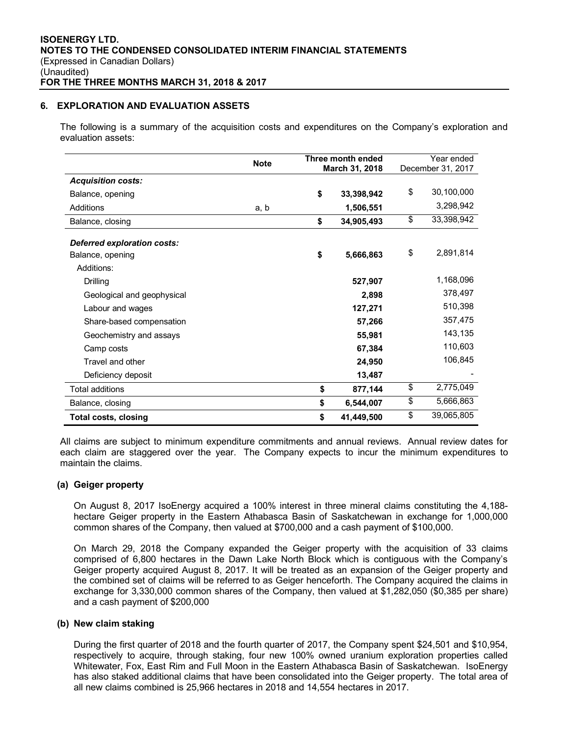# **6. EXPLORATION AND EVALUATION ASSETS**

The following is a summary of the acquisition costs and expenditures on the Company's exploration and evaluation assets:

|                             | <b>Note</b> | Three month ended<br>March 31, 2018 |            | Year ended<br>December 31, 2017 |
|-----------------------------|-------------|-------------------------------------|------------|---------------------------------|
| <b>Acquisition costs:</b>   |             |                                     |            |                                 |
| Balance, opening            |             | \$                                  | 33,398,942 | \$<br>30,100,000                |
| Additions                   | a, b        |                                     | 1,506,551  | 3,298,942                       |
| Balance, closing            |             | \$                                  | 34,905,493 | \$<br>33,398,942                |
| Deferred exploration costs: |             |                                     |            |                                 |
| Balance, opening            |             | \$                                  | 5,666,863  | \$<br>2,891,814                 |
| Additions:                  |             |                                     |            |                                 |
| <b>Drilling</b>             |             |                                     | 527,907    | 1,168,096                       |
| Geological and geophysical  |             |                                     | 2,898      | 378,497                         |
| Labour and wages            |             |                                     | 127,271    | 510,398                         |
| Share-based compensation    |             |                                     | 57,266     | 357,475                         |
| Geochemistry and assays     |             |                                     | 55,981     | 143,135                         |
| Camp costs                  |             |                                     | 67,384     | 110,603                         |
| Travel and other            |             |                                     | 24,950     | 106,845                         |
| Deficiency deposit          |             |                                     | 13,487     |                                 |
| <b>Total additions</b>      |             | \$                                  | 877,144    | \$<br>2,775,049                 |
| Balance, closing            |             | \$                                  | 6,544,007  | \$<br>5,666,863                 |
| <b>Total costs, closing</b> |             | \$                                  | 41,449,500 | \$<br>39,065,805                |

All claims are subject to minimum expenditure commitments and annual reviews. Annual review dates for each claim are staggered over the year. The Company expects to incur the minimum expenditures to maintain the claims.

#### **(a) Geiger property**

On August 8, 2017 IsoEnergy acquired a 100% interest in three mineral claims constituting the 4,188 hectare Geiger property in the Eastern Athabasca Basin of Saskatchewan in exchange for 1,000,000 common shares of the Company, then valued at \$700,000 and a cash payment of \$100,000.

On March 29, 2018 the Company expanded the Geiger property with the acquisition of 33 claims comprised of 6,800 hectares in the Dawn Lake North Block which is contiguous with the Company's Geiger property acquired August 8, 2017. It will be treated as an expansion of the Geiger property and the combined set of claims will be referred to as Geiger henceforth. The Company acquired the claims in exchange for 3,330,000 common shares of the Company, then valued at \$1,282,050 (\$0,385 per share) and a cash payment of \$200,000

## **(b) New claim staking**

During the first quarter of 2018 and the fourth quarter of 2017, the Company spent \$24,501 and \$10,954, respectively to acquire, through staking, four new 100% owned uranium exploration properties called Whitewater, Fox, East Rim and Full Moon in the Eastern Athabasca Basin of Saskatchewan. IsoEnergy has also staked additional claims that have been consolidated into the Geiger property. The total area of all new claims combined is 25,966 hectares in 2018 and 14,554 hectares in 2017.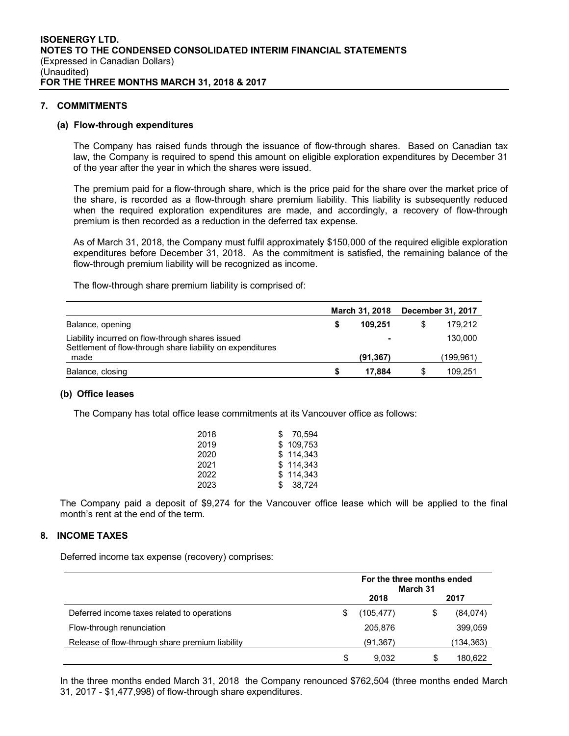# **7. COMMITMENTS**

#### **(a) Flow-through expenditures**

The Company has raised funds through the issuance of flow-through shares. Based on Canadian tax law, the Company is required to spend this amount on eligible exploration expenditures by December 31 of the year after the year in which the shares were issued.

The premium paid for a flow-through share, which is the price paid for the share over the market price of the share, is recorded as a flow-through share premium liability. This liability is subsequently reduced when the required exploration expenditures are made, and accordingly, a recovery of flow-through premium is then recorded as a reduction in the deferred tax expense.

As of March 31, 2018, the Company must fulfil approximately \$150,000 of the required eligible exploration expenditures before December 31, 2018. As the commitment is satisfied, the remaining balance of the flow-through premium liability will be recognized as income.

The flow-through share premium liability is comprised of:

|                                                                                                                | <b>March 31, 2018</b> |   | December 31, 2017 |
|----------------------------------------------------------------------------------------------------------------|-----------------------|---|-------------------|
| Balance, opening                                                                                               | 109.251               |   | 179.212           |
| Liability incurred on flow-through shares issued<br>Settlement of flow-through share liability on expenditures |                       |   | 130,000           |
| made                                                                                                           | (91, 367)             |   | (199,961)         |
| Balance, closing                                                                                               | 17.884                | S | 109.251           |

#### **(b) Office leases**

The Company has total office lease commitments at its Vancouver office as follows:

| 2018 | \$ 70.594 |
|------|-----------|
| 2019 | \$109.753 |
| 2020 | \$114,343 |
| 2021 | \$114.343 |
| 2022 | \$114.343 |
| 2023 | \$38.724  |

The Company paid a deposit of \$9,274 for the Vancouver office lease which will be applied to the final month's rent at the end of the term.

#### **8. INCOME TAXES**

Deferred income tax expense (recovery) comprises:

|                                                 | For the three months ended<br>March 31 |           |   |           |  |
|-------------------------------------------------|----------------------------------------|-----------|---|-----------|--|
|                                                 |                                        | 2018      |   | 2017      |  |
| Deferred income taxes related to operations     | S                                      | (105,477) | S | (84,074)  |  |
| Flow-through renunciation                       |                                        | 205,876   |   | 399,059   |  |
| Release of flow-through share premium liability |                                        | (91, 367) |   | (134,363) |  |
|                                                 | S                                      | 9.032     | S | 180.622   |  |

In the three months ended March 31, 2018 the Company renounced \$762,504 (three months ended March 31, 2017 - \$1,477,998) of flow-through share expenditures.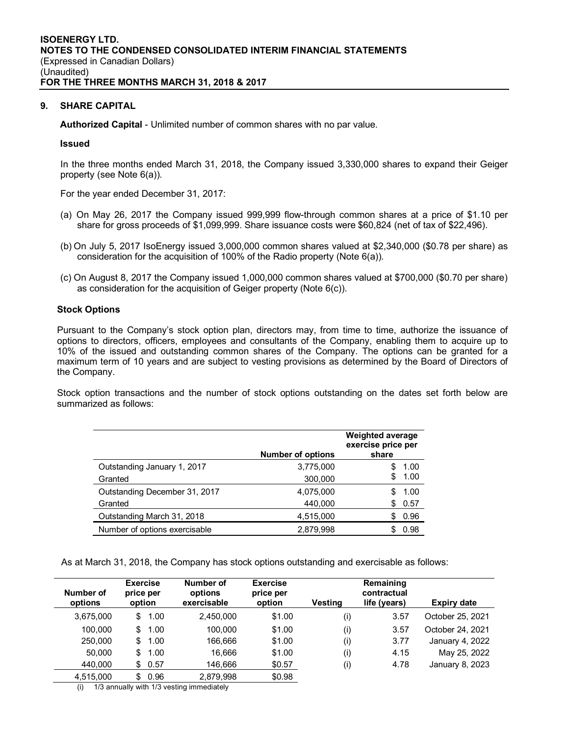# **9. SHARE CAPITAL**

**Authorized Capital** - Unlimited number of common shares with no par value.

## **Issued**

In the three months ended March 31, 2018, the Company issued 3,330,000 shares to expand their Geiger property (see Note 6(a)).

For the year ended December 31, 2017:

- (a) On May 26, 2017 the Company issued 999,999 flow-through common shares at a price of \$1.10 per share for gross proceeds of \$1,099,999. Share issuance costs were \$60,824 (net of tax of \$22,496).
- (b) On July 5, 2017 IsoEnergy issued 3,000,000 common shares valued at \$2,340,000 (\$0.78 per share) as consideration for the acquisition of 100% of the Radio property (Note 6(a)).
- (c) On August 8, 2017 the Company issued 1,000,000 common shares valued at \$700,000 (\$0.70 per share) as consideration for the acquisition of Geiger property (Note 6(c)).

## **Stock Options**

Pursuant to the Company's stock option plan, directors may, from time to time, authorize the issuance of options to directors, officers, employees and consultants of the Company, enabling them to acquire up to 10% of the issued and outstanding common shares of the Company. The options can be granted for a maximum term of 10 years and are subject to vesting provisions as determined by the Board of Directors of the Company.

Stock option transactions and the number of stock options outstanding on the dates set forth below are summarized as follows:

|                               | <b>Number of options</b> | <b>Weighted average</b><br>exercise price per<br>share |
|-------------------------------|--------------------------|--------------------------------------------------------|
| Outstanding January 1, 2017   | 3,775,000                | 1.00<br>\$.                                            |
| Granted                       | 300,000                  | 1.00<br>\$                                             |
| Outstanding December 31, 2017 | 4,075,000                | 1.00                                                   |
| Granted                       | 440,000                  | 0.57<br>S                                              |
| Outstanding March 31, 2018    | 4,515,000                | 0.96                                                   |
| Number of options exercisable | 2.879.998                | 0.98                                                   |

As at March 31, 2018, the Company has stock options outstanding and exercisable as follows:

| Number of<br>options | <b>Exercise</b><br>price per<br>option | Number of<br>options<br>exercisable | <b>Exercise</b><br>price per<br>option | Vestina | Remaining<br>contractual<br>life (years) | Expiry date      |
|----------------------|----------------------------------------|-------------------------------------|----------------------------------------|---------|------------------------------------------|------------------|
| 3,675,000            | S<br>1.00                              | 2.450.000                           | \$1.00                                 | (i)     | 3.57                                     | October 25, 2021 |
| 100.000              | 1.00<br>S                              | 100.000                             | \$1.00                                 | (i)     | 3.57                                     | October 24, 2021 |
| 250,000              | 1.00<br>\$                             | 166.666                             | \$1.00                                 | (i)     | 3.77                                     | January 4, 2022  |
| 50,000               | 1.00<br>S                              | 16.666                              | \$1.00                                 | (i)     | 4.15                                     | May 25, 2022     |
| 440.000              | 0.57<br>S                              | 146.666                             | \$0.57                                 | (i)     | 4.78                                     | January 8, 2023  |
| 4,515,000            | 0.96<br>\$.                            | 2.879.998                           | \$0.98                                 |         |                                          |                  |

(i) 1/3 annually with 1/3 vesting immediately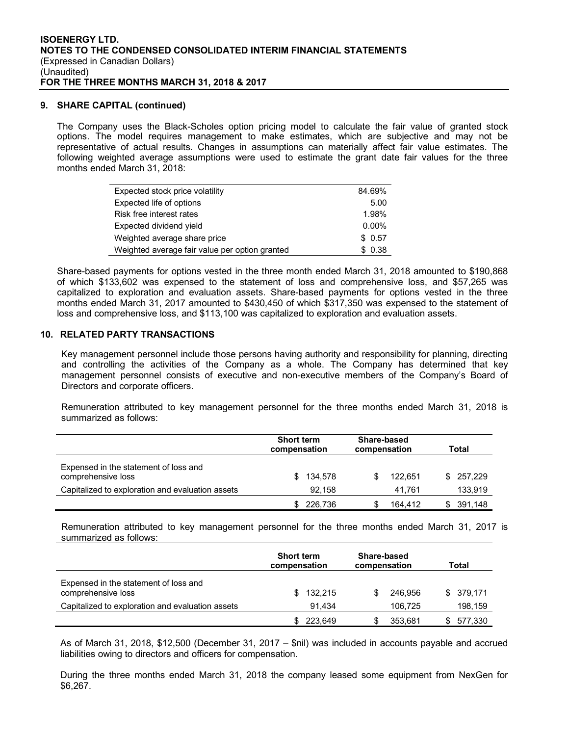## **9. SHARE CAPITAL (continued)**

The Company uses the Black-Scholes option pricing model to calculate the fair value of granted stock options. The model requires management to make estimates, which are subjective and may not be representative of actual results. Changes in assumptions can materially affect fair value estimates. The following weighted average assumptions were used to estimate the grant date fair values for the three months ended March 31, 2018:

| Expected stock price volatility                | 84.69%   |
|------------------------------------------------|----------|
| Expected life of options                       | 5.00     |
| Risk free interest rates                       | 1.98%    |
| Expected dividend yield                        | $0.00\%$ |
| Weighted average share price                   | \$0.57   |
| Weighted average fair value per option granted | \$0.38   |

Share-based payments for options vested in the three month ended March 31, 2018 amounted to \$190,868 of which \$133,602 was expensed to the statement of loss and comprehensive loss, and \$57,265 was capitalized to exploration and evaluation assets. Share-based payments for options vested in the three months ended March 31, 2017 amounted to \$430,450 of which \$317,350 was expensed to the statement of loss and comprehensive loss, and \$113,100 was capitalized to exploration and evaluation assets.

# **10. RELATED PARTY TRANSACTIONS**

Key management personnel include those persons having authority and responsibility for planning, directing and controlling the activities of the Company as a whole. The Company has determined that key management personnel consists of executive and non-executive members of the Company's Board of Directors and corporate officers.

Remuneration attributed to key management personnel for the three months ended March 31, 2018 is summarized as follows:

|                                                             | <b>Short term</b><br>compensation | <b>Share-based</b><br>compensation | Total     |
|-------------------------------------------------------------|-----------------------------------|------------------------------------|-----------|
| Expensed in the statement of loss and<br>comprehensive loss | 134.578<br>\$.                    | 122.651                            | \$257.229 |
| Capitalized to exploration and evaluation assets            | 92,158                            | 41.761                             | 133,919   |
|                                                             | 226,736                           | 164.412                            | 391,148   |

Remuneration attributed to key management personnel for the three months ended March 31, 2017 is summarized as follows:

|                                                             | <b>Short term</b><br>compensation | Share-based<br>compensation | Total      |
|-------------------------------------------------------------|-----------------------------------|-----------------------------|------------|
| Expensed in the statement of loss and<br>comprehensive loss | 132.215                           | 246.956                     | \$ 379.171 |
| Capitalized to exploration and evaluation assets            | 91.434                            | 106.725                     | 198,159    |
|                                                             | 223.649                           | 353,681                     | 577,330    |

As of March 31, 2018, \$12,500 (December 31, 2017 – \$nil) was included in accounts payable and accrued liabilities owing to directors and officers for compensation.

During the three months ended March 31, 2018 the company leased some equipment from NexGen for \$6,267.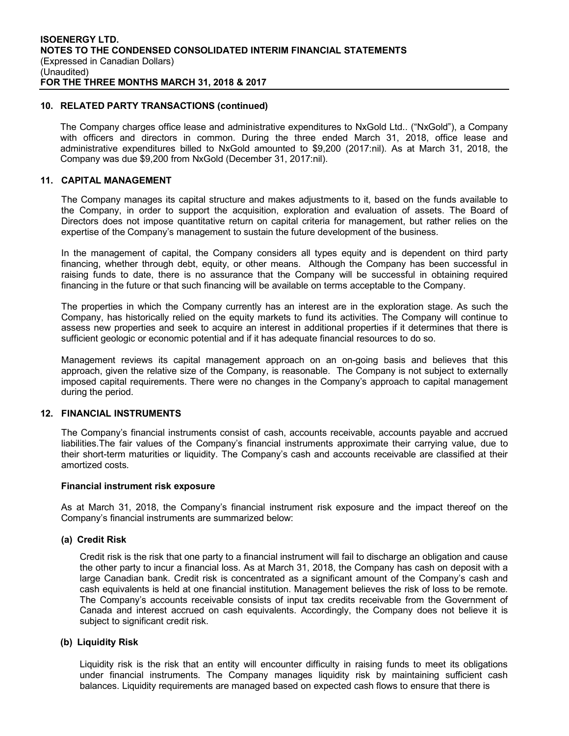# **10. RELATED PARTY TRANSACTIONS (continued)**

The Company charges office lease and administrative expenditures to NxGold Ltd.. ("NxGold"), a Company with officers and directors in common. During the three ended March 31, 2018, office lease and administrative expenditures billed to NxGold amounted to \$9,200 (2017:nil). As at March 31, 2018, the Company was due \$9,200 from NxGold (December 31, 2017:nil).

# **11. CAPITAL MANAGEMENT**

The Company manages its capital structure and makes adjustments to it, based on the funds available to the Company, in order to support the acquisition, exploration and evaluation of assets. The Board of Directors does not impose quantitative return on capital criteria for management, but rather relies on the expertise of the Company's management to sustain the future development of the business.

In the management of capital, the Company considers all types equity and is dependent on third party financing, whether through debt, equity, or other means. Although the Company has been successful in raising funds to date, there is no assurance that the Company will be successful in obtaining required financing in the future or that such financing will be available on terms acceptable to the Company.

The properties in which the Company currently has an interest are in the exploration stage. As such the Company, has historically relied on the equity markets to fund its activities. The Company will continue to assess new properties and seek to acquire an interest in additional properties if it determines that there is sufficient geologic or economic potential and if it has adequate financial resources to do so.

Management reviews its capital management approach on an on-going basis and believes that this approach, given the relative size of the Company, is reasonable. The Company is not subject to externally imposed capital requirements. There were no changes in the Company's approach to capital management during the period.

# **12. FINANCIAL INSTRUMENTS**

The Company's financial instruments consist of cash, accounts receivable, accounts payable and accrued liabilities.The fair values of the Company's financial instruments approximate their carrying value, due to their short-term maturities or liquidity. The Company's cash and accounts receivable are classified at their amortized costs.

#### **Financial instrument risk exposure**

As at March 31, 2018, the Company's financial instrument risk exposure and the impact thereof on the Company's financial instruments are summarized below:

# **(a) Credit Risk**

Credit risk is the risk that one party to a financial instrument will fail to discharge an obligation and cause the other party to incur a financial loss. As at March 31, 2018, the Company has cash on deposit with a large Canadian bank. Credit risk is concentrated as a significant amount of the Company's cash and cash equivalents is held at one financial institution. Management believes the risk of loss to be remote. The Company's accounts receivable consists of input tax credits receivable from the Government of Canada and interest accrued on cash equivalents. Accordingly, the Company does not believe it is subject to significant credit risk.

# **(b) Liquidity Risk**

Liquidity risk is the risk that an entity will encounter difficulty in raising funds to meet its obligations under financial instruments. The Company manages liquidity risk by maintaining sufficient cash balances. Liquidity requirements are managed based on expected cash flows to ensure that there is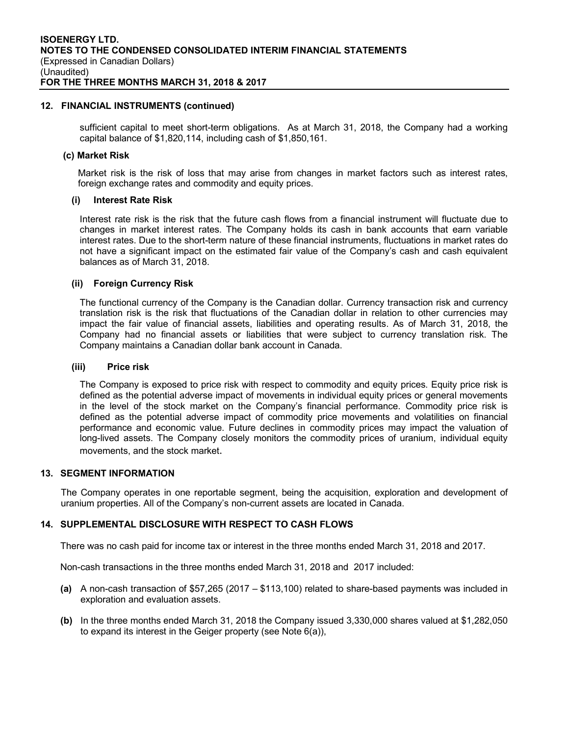# **12. FINANCIAL INSTRUMENTS (continued)**

sufficient capital to meet short-term obligations. As at March 31, 2018, the Company had a working capital balance of \$1,820,114, including cash of \$1,850,161.

#### **(c) Market Risk**

Market risk is the risk of loss that may arise from changes in market factors such as interest rates, foreign exchange rates and commodity and equity prices.

## **(i) Interest Rate Risk**

Interest rate risk is the risk that the future cash flows from a financial instrument will fluctuate due to changes in market interest rates. The Company holds its cash in bank accounts that earn variable interest rates. Due to the short-term nature of these financial instruments, fluctuations in market rates do not have a significant impact on the estimated fair value of the Company's cash and cash equivalent balances as of March 31, 2018.

## **(ii) Foreign Currency Risk**

The functional currency of the Company is the Canadian dollar. Currency transaction risk and currency translation risk is the risk that fluctuations of the Canadian dollar in relation to other currencies may impact the fair value of financial assets, liabilities and operating results. As of March 31, 2018, the Company had no financial assets or liabilities that were subject to currency translation risk. The Company maintains a Canadian dollar bank account in Canada.

#### **(iii) Price risk**

The Company is exposed to price risk with respect to commodity and equity prices. Equity price risk is defined as the potential adverse impact of movements in individual equity prices or general movements in the level of the stock market on the Company's financial performance. Commodity price risk is defined as the potential adverse impact of commodity price movements and volatilities on financial performance and economic value. Future declines in commodity prices may impact the valuation of long-lived assets. The Company closely monitors the commodity prices of uranium, individual equity movements, and the stock market.

#### **13. SEGMENT INFORMATION**

The Company operates in one reportable segment, being the acquisition, exploration and development of uranium properties. All of the Company's non-current assets are located in Canada.

# **14. SUPPLEMENTAL DISCLOSURE WITH RESPECT TO CASH FLOWS**

There was no cash paid for income tax or interest in the three months ended March 31, 2018 and 2017.

Non-cash transactions in the three months ended March 31, 2018 and 2017 included:

- **(a)** A non-cash transaction of \$57,265 (2017 \$113,100) related to share-based payments was included in exploration and evaluation assets.
- **(b)** In the three months ended March 31, 2018 the Company issued 3,330,000 shares valued at \$1,282,050 to expand its interest in the Geiger property (see Note 6(a)),